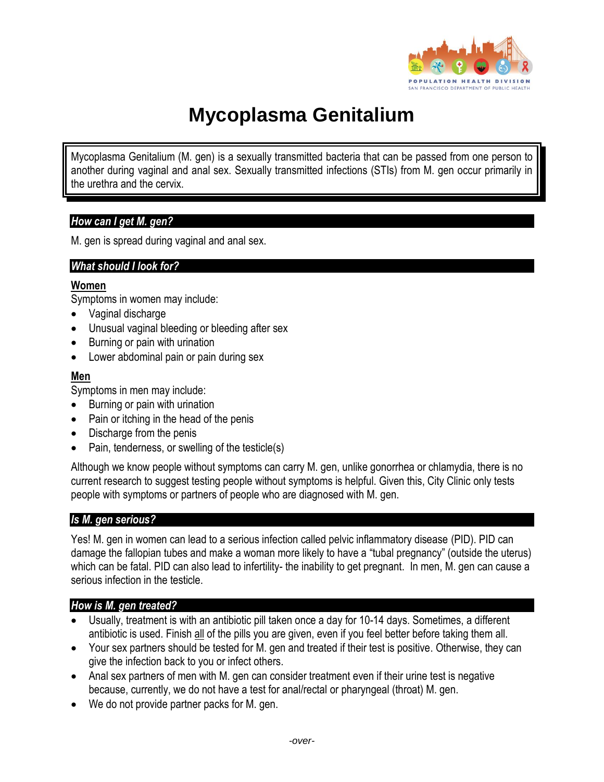

# **Mycoplasma Genitalium**

Mycoplasma Genitalium (M. gen) is a sexually transmitted bacteria that can be passed from one person to another during vaginal and anal sex. Sexually transmitted infections (STIs) from M. gen occur primarily in the urethra and the cervix.

## *How can I get M. gen?*

M. gen is spread during vaginal and anal sex.

### *What should I look for?*

#### **Women**

Symptoms in women may include:

- Vaginal discharge
- Unusual vaginal bleeding or bleeding after sex
- Burning or pain with urination
- Lower abdominal pain or pain during sex

### **Men**

Symptoms in men may include:

- Burning or pain with urination
- Pain or itching in the head of the penis
- Discharge from the penis
- Pain, tenderness, or swelling of the testicle(s)

Although we know people without symptoms can carry M. gen, unlike gonorrhea or chlamydia, there is no current research to suggest testing people without symptoms is helpful. Given this, City Clinic only tests people with symptoms or partners of people who are diagnosed with M. gen.

### *Is M. gen serious?*

Yes! M. gen in women can lead to a serious infection called pelvic inflammatory disease (PID). PID can damage the fallopian tubes and make a woman more likely to have a "tubal pregnancy" (outside the uterus) which can be fatal. PID can also lead to infertility- the inability to get pregnant. In men, M. gen can cause a serious infection in the testicle.

### *How is M. gen treated?*

- Usually, treatment is with an antibiotic pill taken once a day for 10-14 days. Sometimes, a different antibiotic is used. Finish all of the pills you are given, even if you feel better before taking them all.
- Your sex partners should be tested for M. gen and treated if their test is positive. Otherwise, they can give the infection back to you or infect others.
- Anal sex partners of men with M. gen can consider treatment even if their urine test is negative because, currently, we do not have a test for anal/rectal or pharyngeal (throat) M. gen.
- We do not provide partner packs for M. gen.